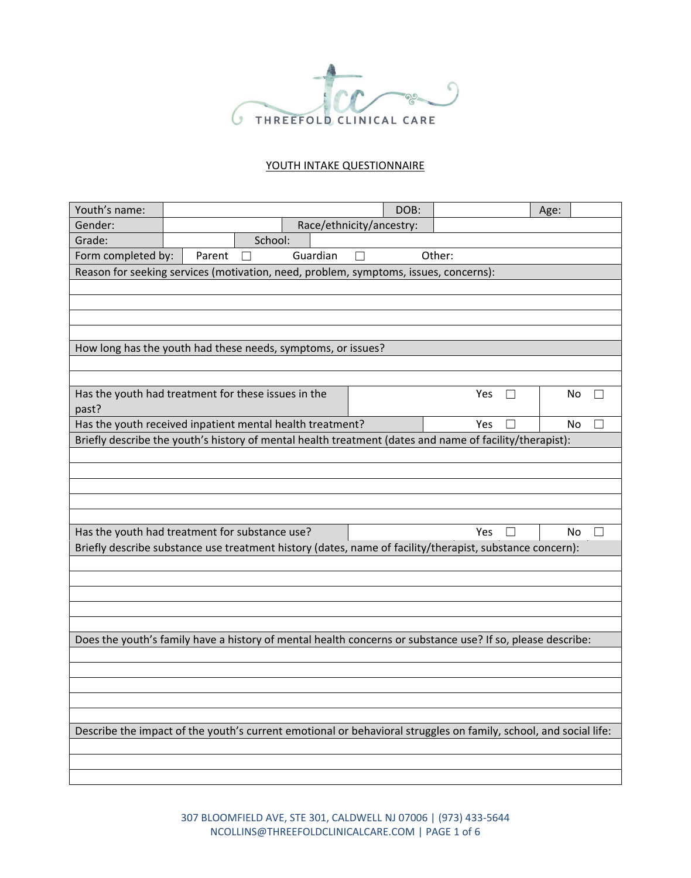

## YOUTH INTAKE QUESTIONNAIRE

| Youth's name:                                                                                                    |        |         |                          |   | DOB: |        |         | Age: |    |
|------------------------------------------------------------------------------------------------------------------|--------|---------|--------------------------|---|------|--------|---------|------|----|
| Gender:                                                                                                          |        |         | Race/ethnicity/ancestry: |   |      |        |         |      |    |
| Grade:                                                                                                           |        | School: |                          |   |      |        |         |      |    |
| Form completed by:                                                                                               | Parent | $\Box$  | Guardian                 | П |      | Other: |         |      |    |
| Reason for seeking services (motivation, need, problem, symptoms, issues, concerns):                             |        |         |                          |   |      |        |         |      |    |
|                                                                                                                  |        |         |                          |   |      |        |         |      |    |
|                                                                                                                  |        |         |                          |   |      |        |         |      |    |
|                                                                                                                  |        |         |                          |   |      |        |         |      |    |
|                                                                                                                  |        |         |                          |   |      |        |         |      |    |
| How long has the youth had these needs, symptoms, or issues?                                                     |        |         |                          |   |      |        |         |      |    |
|                                                                                                                  |        |         |                          |   |      |        |         |      |    |
| Has the youth had treatment for these issues in the                                                              |        |         |                          |   |      | Yes    | $\perp$ |      | No |
| past?                                                                                                            |        |         |                          |   |      |        |         |      |    |
| Has the youth received inpatient mental health treatment?                                                        |        |         |                          |   |      | Yes    |         |      | No |
| Briefly describe the youth's history of mental health treatment (dates and name of facility/therapist):          |        |         |                          |   |      |        |         |      |    |
|                                                                                                                  |        |         |                          |   |      |        |         |      |    |
|                                                                                                                  |        |         |                          |   |      |        |         |      |    |
|                                                                                                                  |        |         |                          |   |      |        |         |      |    |
|                                                                                                                  |        |         |                          |   |      |        |         |      |    |
|                                                                                                                  |        |         |                          |   |      |        |         |      |    |
| Has the youth had treatment for substance use?                                                                   |        |         |                          |   |      | Yes    |         |      | No |
| Briefly describe substance use treatment history (dates, name of facility/therapist, substance concern):         |        |         |                          |   |      |        |         |      |    |
|                                                                                                                  |        |         |                          |   |      |        |         |      |    |
|                                                                                                                  |        |         |                          |   |      |        |         |      |    |
|                                                                                                                  |        |         |                          |   |      |        |         |      |    |
|                                                                                                                  |        |         |                          |   |      |        |         |      |    |
|                                                                                                                  |        |         |                          |   |      |        |         |      |    |
| Does the youth's family have a history of mental health concerns or substance use? If so, please describe:       |        |         |                          |   |      |        |         |      |    |
|                                                                                                                  |        |         |                          |   |      |        |         |      |    |
|                                                                                                                  |        |         |                          |   |      |        |         |      |    |
|                                                                                                                  |        |         |                          |   |      |        |         |      |    |
|                                                                                                                  |        |         |                          |   |      |        |         |      |    |
| Describe the impact of the youth's current emotional or behavioral struggles on family, school, and social life: |        |         |                          |   |      |        |         |      |    |
|                                                                                                                  |        |         |                          |   |      |        |         |      |    |
|                                                                                                                  |        |         |                          |   |      |        |         |      |    |
|                                                                                                                  |        |         |                          |   |      |        |         |      |    |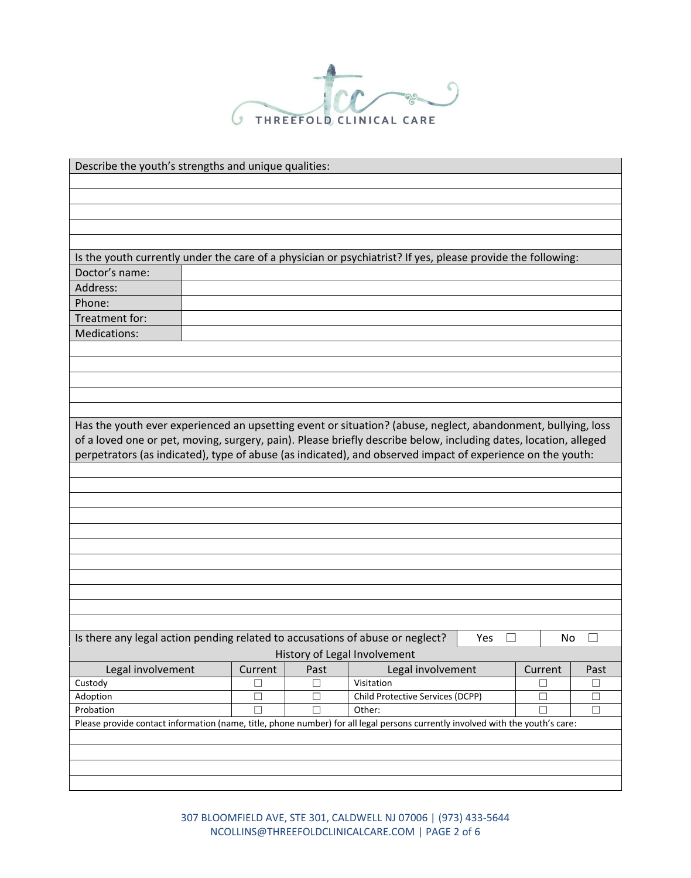

| Describe the youth's strengths and unique qualities:                                                                           |         |        |                                                      |     |         |        |  |  |
|--------------------------------------------------------------------------------------------------------------------------------|---------|--------|------------------------------------------------------|-----|---------|--------|--|--|
|                                                                                                                                |         |        |                                                      |     |         |        |  |  |
|                                                                                                                                |         |        |                                                      |     |         |        |  |  |
|                                                                                                                                |         |        |                                                      |     |         |        |  |  |
|                                                                                                                                |         |        |                                                      |     |         |        |  |  |
|                                                                                                                                |         |        |                                                      |     |         |        |  |  |
| Is the youth currently under the care of a physician or psychiatrist? If yes, please provide the following:                    |         |        |                                                      |     |         |        |  |  |
| Doctor's name:                                                                                                                 |         |        |                                                      |     |         |        |  |  |
| Address:                                                                                                                       |         |        |                                                      |     |         |        |  |  |
| Phone:                                                                                                                         |         |        |                                                      |     |         |        |  |  |
| Treatment for:                                                                                                                 |         |        |                                                      |     |         |        |  |  |
| Medications:                                                                                                                   |         |        |                                                      |     |         |        |  |  |
|                                                                                                                                |         |        |                                                      |     |         |        |  |  |
|                                                                                                                                |         |        |                                                      |     |         |        |  |  |
|                                                                                                                                |         |        |                                                      |     |         |        |  |  |
|                                                                                                                                |         |        |                                                      |     |         |        |  |  |
|                                                                                                                                |         |        |                                                      |     |         |        |  |  |
|                                                                                                                                |         |        |                                                      |     |         |        |  |  |
| Has the youth ever experienced an upsetting event or situation? (abuse, neglect, abandonment, bullying, loss                   |         |        |                                                      |     |         |        |  |  |
| of a loved one or pet, moving, surgery, pain). Please briefly describe below, including dates, location, alleged               |         |        |                                                      |     |         |        |  |  |
| perpetrators (as indicated), type of abuse (as indicated), and observed impact of experience on the youth:                     |         |        |                                                      |     |         |        |  |  |
|                                                                                                                                |         |        |                                                      |     |         |        |  |  |
|                                                                                                                                |         |        |                                                      |     |         |        |  |  |
|                                                                                                                                |         |        |                                                      |     |         |        |  |  |
|                                                                                                                                |         |        |                                                      |     |         |        |  |  |
|                                                                                                                                |         |        |                                                      |     |         |        |  |  |
|                                                                                                                                |         |        |                                                      |     |         |        |  |  |
|                                                                                                                                |         |        |                                                      |     |         |        |  |  |
|                                                                                                                                |         |        |                                                      |     |         |        |  |  |
|                                                                                                                                |         |        |                                                      |     |         |        |  |  |
|                                                                                                                                |         |        |                                                      |     |         |        |  |  |
|                                                                                                                                |         |        |                                                      |     |         |        |  |  |
| Is there any legal action pending related to accusations of abuse or neglect?                                                  |         |        |                                                      | Yes | No      |        |  |  |
|                                                                                                                                |         |        | History of Legal Involvement                         |     |         |        |  |  |
| Legal involvement                                                                                                              | Current | Past   | Legal involvement                                    |     | Current | Past   |  |  |
| Custody                                                                                                                        | г       | $\Box$ | Visitation                                           |     | П       | $\Box$ |  |  |
| Adoption                                                                                                                       | □       | $\Box$ | Child Protective Services (DCPP)<br>$\Box$<br>$\Box$ |     |         |        |  |  |
| Probation                                                                                                                      |         | П      | $\Box$<br>Other:                                     |     |         |        |  |  |
| Please provide contact information (name, title, phone number) for all legal persons currently involved with the youth's care: |         |        |                                                      |     |         |        |  |  |
|                                                                                                                                |         |        |                                                      |     |         |        |  |  |
|                                                                                                                                |         |        |                                                      |     |         |        |  |  |
|                                                                                                                                |         |        |                                                      |     |         |        |  |  |
|                                                                                                                                |         |        |                                                      |     |         |        |  |  |

307 BLOOMFIELD AVE, STE 301, CALDWELL NJ 07006 | (973) 433-5644 NCOLLINS@THREEFOLDCLINICALCARE.COM | PAGE 2 of 6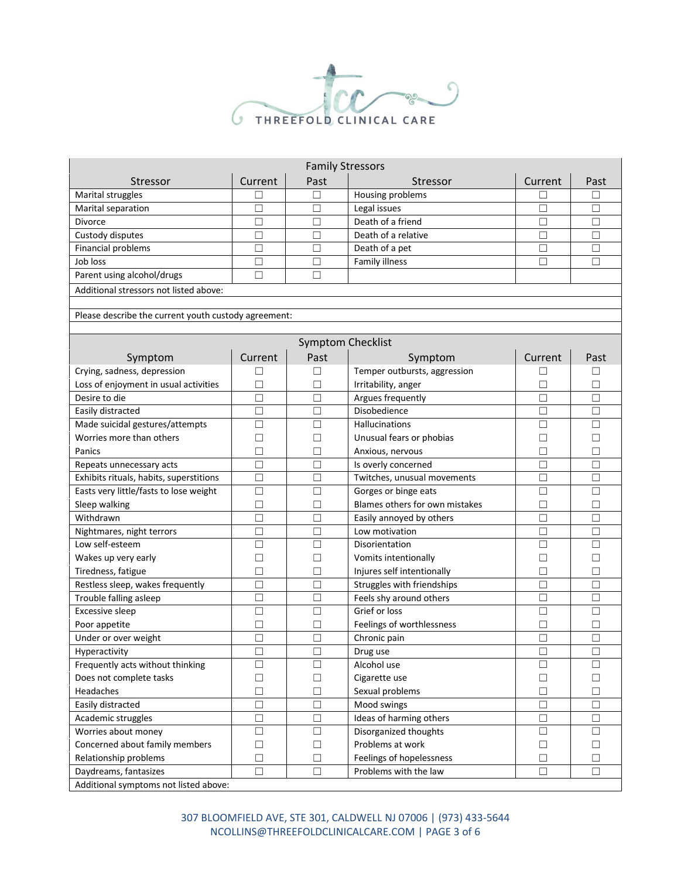

| <b>Family Stressors</b>                              |                                              |                          |                                |         |        |  |  |  |
|------------------------------------------------------|----------------------------------------------|--------------------------|--------------------------------|---------|--------|--|--|--|
| Stressor                                             | Current                                      | Past                     | Stressor                       | Current | Past   |  |  |  |
| Marital struggles                                    | Г                                            | □                        | Housing problems               |         | □      |  |  |  |
| Marital separation                                   | $\Box$                                       | □                        | Legal issues                   | $\Box$  | $\Box$ |  |  |  |
| Divorce                                              | $\Box$                                       | □                        | Death of a friend              | П       | $\Box$ |  |  |  |
| Custody disputes                                     | $\Box$                                       | □                        | Death of a relative            | П       | $\Box$ |  |  |  |
| Financial problems                                   | □                                            | П                        | Death of a pet                 | П       | □      |  |  |  |
| Job loss                                             | П                                            | П                        | <b>Family illness</b>          | П       | П      |  |  |  |
| Parent using alcohol/drugs                           | $\Box$                                       | $\Box$                   |                                |         |        |  |  |  |
| Additional stressors not listed above:               |                                              |                          |                                |         |        |  |  |  |
|                                                      |                                              |                          |                                |         |        |  |  |  |
| Please describe the current youth custody agreement: |                                              |                          |                                |         |        |  |  |  |
|                                                      |                                              |                          |                                |         |        |  |  |  |
|                                                      |                                              | <b>Symptom Checklist</b> |                                |         |        |  |  |  |
| Symptom                                              | Current                                      | Past                     | Symptom                        | Current | Past   |  |  |  |
| Crying, sadness, depression                          |                                              | $\Box$                   | Temper outbursts, aggression   | П       | □      |  |  |  |
| Loss of enjoyment in usual activities                | П                                            | □                        | Irritability, anger            | $\Box$  | □      |  |  |  |
| Desire to die                                        | П                                            | $\Box$                   | Argues frequently              | $\Box$  | □      |  |  |  |
| Easily distracted                                    | П                                            | $\Box$                   | Disobedience                   | $\Box$  | $\Box$ |  |  |  |
| Made suicidal gestures/attempts                      | □                                            | $\Box$                   | Hallucinations                 | $\Box$  | □      |  |  |  |
| Worries more than others                             | □                                            | П                        | Unusual fears or phobias       | $\Box$  | □      |  |  |  |
| Panics                                               | □                                            | П                        | Anxious, nervous               | $\Box$  | □      |  |  |  |
| Repeats unnecessary acts                             | □                                            | $\Box$                   | Is overly concerned            | $\Box$  | $\Box$ |  |  |  |
| Exhibits rituals, habits, superstitions              | $\Box$                                       | $\Box$                   | Twitches, unusual movements    | $\Box$  | □      |  |  |  |
| Easts very little/fasts to lose weight               | □                                            | $\Box$                   | Gorges or binge eats           | $\Box$  | $\Box$ |  |  |  |
| Sleep walking                                        | $\Box$                                       | $\Box$                   | Blames others for own mistakes | П       | □      |  |  |  |
| Withdrawn                                            | П                                            | П                        | Easily annoyed by others       | П       | $\Box$ |  |  |  |
| Nightmares, night terrors                            | П                                            | $\Box$                   | Low motivation                 | $\Box$  | П      |  |  |  |
| Low self-esteem                                      | $\Box$                                       | $\Box$                   | Disorientation                 | $\Box$  | $\Box$ |  |  |  |
| Wakes up very early                                  | $\Box$                                       | $\Box$                   | Vomits intentionally           | $\Box$  | $\Box$ |  |  |  |
| Tiredness, fatigue                                   | $\Box$                                       | $\Box$                   | Injures self intentionally     | $\Box$  | $\Box$ |  |  |  |
| Restless sleep, wakes frequently                     | П                                            | $\Box$                   | Struggles with friendships     | $\Box$  | $\Box$ |  |  |  |
| Trouble falling asleep                               | □                                            | $\Box$                   | Feels shy around others        | $\Box$  | □      |  |  |  |
| <b>Excessive sleep</b>                               | □                                            | $\Box$                   | Grief or loss                  | $\Box$  | □      |  |  |  |
| Poor appetite                                        | П                                            | $\Box$                   | Feelings of worthlessness      | $\Box$  | П      |  |  |  |
| Under or over weight                                 | $\Box$                                       | $\Box$                   | Chronic pain                   | $\Box$  | □      |  |  |  |
| Hyperactivity                                        | $\Box$                                       | $\Box$                   | Drug use                       | $\Box$  | $\Box$ |  |  |  |
| Frequently acts without thinking                     | $\Box$                                       | $\Box$                   | Alcohol use                    | $\Box$  | $\Box$ |  |  |  |
| Does not complete tasks                              | $\Box$                                       | $\Box$                   | Cigarette use                  | $\Box$  | $\Box$ |  |  |  |
| Headaches                                            | $\Box$                                       | $\Box$                   | Sexual problems                | $\Box$  | $\Box$ |  |  |  |
| Easily distracted                                    | $\Box$                                       | $\Box$                   | Mood swings                    | $\Box$  | $\Box$ |  |  |  |
| Academic struggles                                   | $\Box$                                       | $\Box$                   | Ideas of harming others        | $\Box$  | □      |  |  |  |
| Worries about money                                  | □                                            | $\Box$                   | Disorganized thoughts          | $\Box$  | □      |  |  |  |
| Concerned about family members                       | $\Box$                                       | $\Box$                   | Problems at work               | $\Box$  | □      |  |  |  |
| Relationship problems                                | $\Box$<br>$\Box$<br>Feelings of hopelessness |                          | $\Box$                         | □       |        |  |  |  |
| Daydreams, fantasizes                                | $\Box$                                       | $\Box$                   | Problems with the law          | $\Box$  | $\Box$ |  |  |  |
| Additional symptoms not listed above:                |                                              |                          |                                |         |        |  |  |  |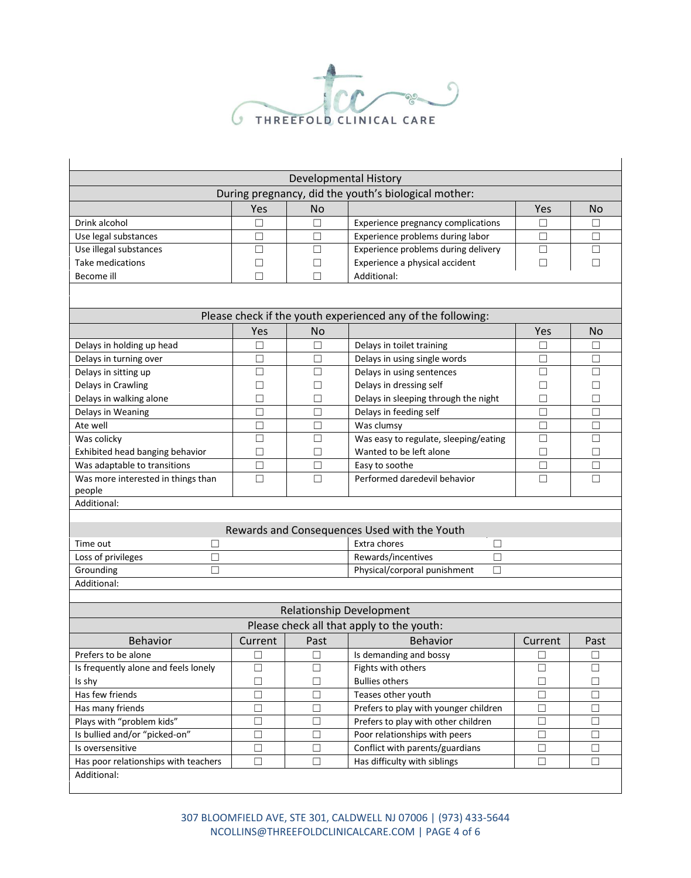

|                                                         |                                                             |           | Developmental History                                       |         |           |
|---------------------------------------------------------|-------------------------------------------------------------|-----------|-------------------------------------------------------------|---------|-----------|
|                                                         |                                                             |           | During pregnancy, did the youth's biological mother:        |         |           |
|                                                         | Yes                                                         | <b>No</b> |                                                             | Yes     | <b>No</b> |
| Drink alcohol                                           | П                                                           | П         | Experience pregnancy complications                          | П       | □         |
| Use legal substances                                    | □                                                           | $\Box$    | Experience problems during labor                            | □       | □         |
| Use illegal substances                                  | П                                                           | П         | Experience problems during delivery                         | $\Box$  | $\Box$    |
| Take medications                                        | $\Box$                                                      | П         | Experience a physical accident                              | $\Box$  | $\Box$    |
| Become ill                                              | $\Box$                                                      | □         | Additional:                                                 |         |           |
|                                                         |                                                             |           | Please check if the youth experienced any of the following: |         |           |
|                                                         | Yes                                                         | <b>No</b> |                                                             | Yes     | No        |
| Delays in holding up head                               | □                                                           | $\Box$    | Delays in toilet training                                   | ⊔       | $\Box$    |
| Delays in turning over                                  | □                                                           | $\Box$    | Delays in using single words                                | $\Box$  | □         |
| Delays in sitting up                                    | □                                                           | □         | Delays in using sentences                                   | □       | □         |
| Delays in Crawling                                      | $\Box$                                                      | $\Box$    | Delays in dressing self                                     | □       | $\Box$    |
| Delays in walking alone                                 | □                                                           | $\Box$    | Delays in sleeping through the night                        | □       | □         |
| Delays in Weaning                                       | □                                                           | $\Box$    | Delays in feeding self                                      | □       | □         |
| Ate well                                                | □                                                           | □         | Was clumsy                                                  | □       | □         |
| Was colicky                                             | П                                                           | П         | Was easy to regulate, sleeping/eating                       | П       | □         |
| Exhibited head banging behavior                         | □                                                           | П         | Wanted to be left alone                                     | П       | □         |
| Was adaptable to transitions                            | □                                                           | $\Box$    | Easy to soothe                                              | □       | □         |
| Was more interested in things than                      | $\Box$                                                      | $\Box$    | Performed daredevil behavior                                | $\Box$  | $\Box$    |
| people                                                  |                                                             |           |                                                             |         |           |
| Additional:                                             |                                                             |           |                                                             |         |           |
|                                                         |                                                             |           |                                                             |         |           |
|                                                         |                                                             |           | Rewards and Consequences Used with the Youth                |         |           |
| Time out<br>$\Box$                                      |                                                             |           | Extra chores<br>□                                           |         |           |
| Rewards/incentives<br>$\Box$<br>Loss of privileges<br>□ |                                                             |           |                                                             |         |           |
| Grounding<br>П                                          |                                                             |           | Physical/corporal punishment<br>$\Box$                      |         |           |
| Additional:                                             |                                                             |           |                                                             |         |           |
|                                                         |                                                             |           |                                                             |         |           |
|                                                         |                                                             |           | <b>Relationship Development</b>                             |         |           |
|                                                         |                                                             |           | Please check all that apply to the youth:                   |         |           |
| <b>Behavior</b>                                         | Current                                                     | Past      | <b>Behavior</b>                                             | Current | Past      |
| Prefers to be alone                                     | $\Box$                                                      | $\Box$    | Is demanding and bossy                                      | $\Box$  | $\Box$    |
| Is frequently alone and feels lonely                    | $\Box$                                                      | $\Box$    | Fights with others                                          | $\Box$  | $\Box$    |
| Is shy                                                  | $\Box$                                                      | □         | <b>Bullies others</b>                                       | □       | □         |
| Has few friends                                         | $\Box$                                                      | □         | Teases other youth                                          | $\Box$  | □         |
| Has many friends                                        | $\Box$                                                      | □         | Prefers to play with younger children<br>$\Box$             |         | $\Box$    |
| Plays with "problem kids"                               | $\Box$                                                      | $\Box$    | Prefers to play with other children                         | $\Box$  | $\Box$    |
| Is bullied and/or "picked-on"                           | Poor relationships with peers<br>$\Box$<br>$\Box$<br>$\Box$ |           |                                                             | $\Box$  |           |
| Is oversensitive                                        | $\Box$                                                      | $\Box$    | Conflict with parents/guardians<br>$\Box$                   |         | $\Box$    |
| Has poor relationships with teachers                    | $\Box$                                                      | $\Box$    | Has difficulty with siblings                                | $\Box$  | $\Box$    |
| Additional:                                             |                                                             |           |                                                             |         |           |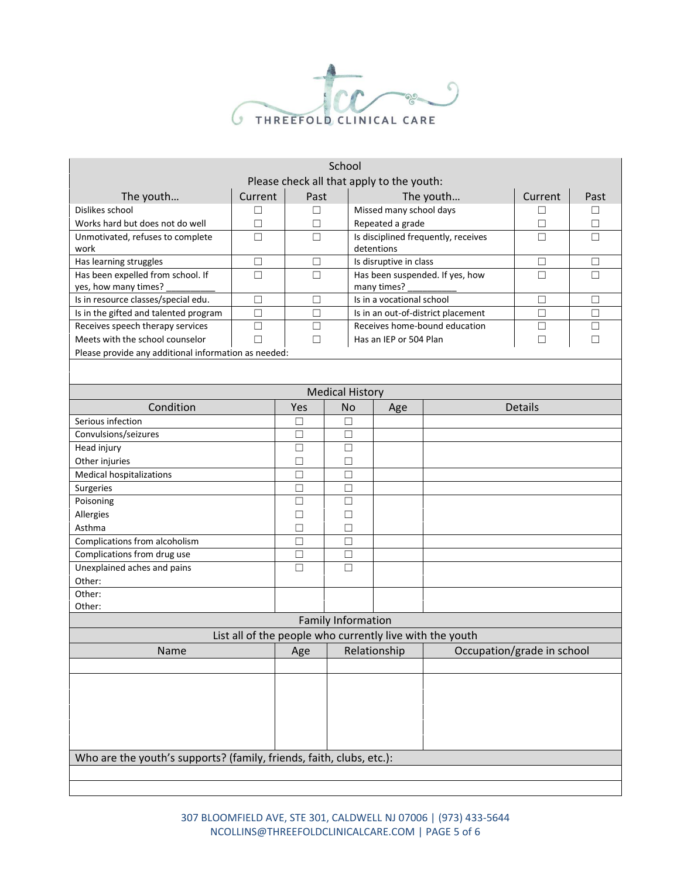

|                                                                      |        |                  | School                                         |                               |                                    |                                                          |         |        |
|----------------------------------------------------------------------|--------|------------------|------------------------------------------------|-------------------------------|------------------------------------|----------------------------------------------------------|---------|--------|
| Please check all that apply to the youth:                            |        |                  |                                                |                               |                                    |                                                          |         |        |
| The youth<br>Current                                                 |        | Past             |                                                | The youth                     |                                    | Current                                                  | Past    |        |
| Dislikes school<br>□                                                 |        | $\Box$           |                                                |                               | Missed many school days            |                                                          | □       | □      |
| Works hard but does not do well<br>$\Box$                            |        | $\Box$           |                                                |                               | Repeated a grade                   |                                                          | $\Box$  | $\Box$ |
| Unmotivated, refuses to complete<br>work                             | □      | $\Box$           |                                                | detentions                    |                                    | Is disciplined frequently, receives                      | П       | П      |
| Has learning struggles<br>$\Box$                                     |        | $\Box$           |                                                | Is disruptive in class        |                                    |                                                          | $\Box$  | □      |
| $\Box$<br>Has been expelled from school. If<br>yes, how many times?  |        | $\Box$           | Has been suspended. If yes, how<br>many times? |                               |                                    | $\Box$                                                   | $\Box$  |        |
| Is in resource classes/special edu.                                  | $\Box$ | $\Box$           |                                                |                               | Is in a vocational school          |                                                          | $\Box$  | □      |
| Is in the gifted and talented program                                | $\Box$ | $\Box$           |                                                |                               | Is in an out-of-district placement | $\Box$                                                   | □       |        |
| Receives speech therapy services                                     | $\Box$ | $\Box$           |                                                | Receives home-bound education |                                    | $\Box$                                                   | □       |        |
| Meets with the school counselor                                      | П      | $\Box$           |                                                |                               | Has an IEP or 504 Plan             |                                                          | П       | П      |
| Please provide any additional information as needed:                 |        |                  |                                                |                               |                                    |                                                          |         |        |
|                                                                      |        |                  |                                                |                               |                                    |                                                          |         |        |
|                                                                      |        |                  |                                                |                               |                                    |                                                          |         |        |
|                                                                      |        |                  |                                                | <b>Medical History</b>        |                                    |                                                          |         |        |
| Condition                                                            |        | Yes              | <b>No</b>                                      |                               | Age                                |                                                          | Details |        |
| Serious infection                                                    |        | $\Box$           | □                                              |                               |                                    |                                                          |         |        |
| Convulsions/seizures                                                 |        | $\Box$           | □                                              |                               |                                    |                                                          |         |        |
| Head injury                                                          |        | $\Box$<br>$\Box$ |                                                |                               |                                    |                                                          |         |        |
| Other injuries                                                       |        | $\Box$<br>□      |                                                |                               |                                    |                                                          |         |        |
| <b>Medical hospitalizations</b>                                      |        | $\Box$           | □                                              |                               |                                    |                                                          |         |        |
| Surgeries                                                            |        | $\Box$           |                                                | □                             |                                    |                                                          |         |        |
| Poisoning                                                            |        | $\Box$           | $\Box$                                         |                               |                                    |                                                          |         |        |
| Allergies                                                            |        | $\Box$           | $\Box$                                         |                               |                                    |                                                          |         |        |
| Asthma                                                               |        | $\Box$           | $\Box$                                         |                               |                                    |                                                          |         |        |
| Complications from alcoholism                                        |        | $\Box$           | $\Box$                                         |                               |                                    |                                                          |         |        |
| Complications from drug use                                          |        | $\Box$           | $\Box$                                         |                               |                                    |                                                          |         |        |
| Unexplained aches and pains                                          |        | $\Box$           | $\Box$                                         |                               |                                    |                                                          |         |        |
| Other:                                                               |        |                  |                                                |                               |                                    |                                                          |         |        |
| Other:                                                               |        |                  |                                                |                               |                                    |                                                          |         |        |
| Other:                                                               |        |                  |                                                |                               |                                    |                                                          |         |        |
|                                                                      |        |                  |                                                | <b>Family Information</b>     |                                    | List all of the people who currently live with the youth |         |        |
| Name                                                                 |        | Age Relationship |                                                |                               | Occupation/grade in school         |                                                          |         |        |
|                                                                      |        |                  |                                                |                               |                                    |                                                          |         |        |
|                                                                      |        |                  |                                                |                               |                                    |                                                          |         |        |
|                                                                      |        |                  |                                                |                               |                                    |                                                          |         |        |
|                                                                      |        |                  |                                                |                               |                                    |                                                          |         |        |
|                                                                      |        |                  |                                                |                               |                                    |                                                          |         |        |
|                                                                      |        |                  |                                                |                               |                                    |                                                          |         |        |
|                                                                      |        |                  |                                                |                               |                                    |                                                          |         |        |
| Who are the youth's supports? (family, friends, faith, clubs, etc.): |        |                  |                                                |                               |                                    |                                                          |         |        |
|                                                                      |        |                  |                                                |                               |                                    |                                                          |         |        |
|                                                                      |        |                  |                                                |                               |                                    |                                                          |         |        |